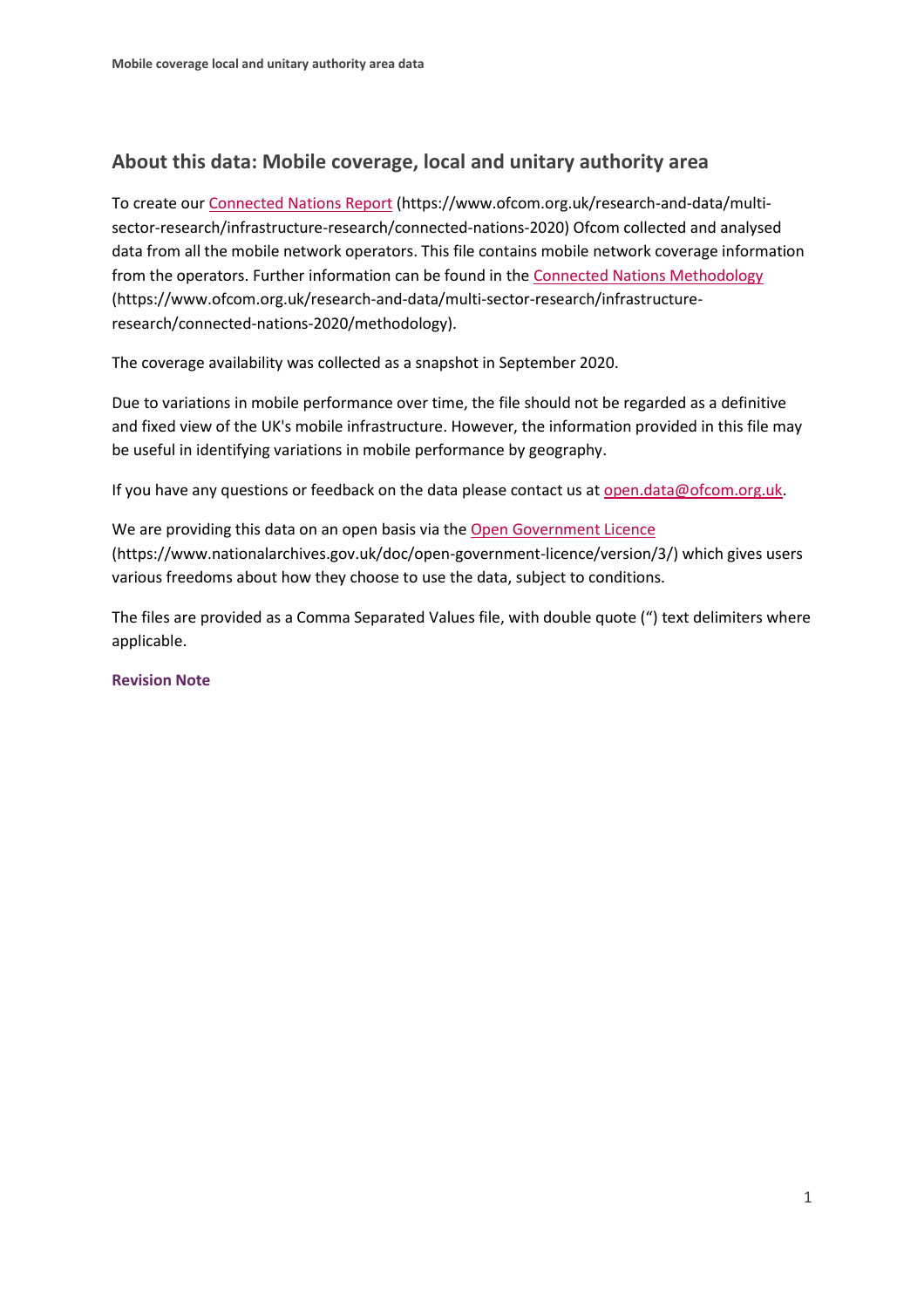### **About this data: Mobile coverage, local and unitary authority area**

To create ou[r Connected Nations Report](https://www.ofcom.org.uk/research-and-data/multi-sector-research/infrastructure-research/connected-nations-2020) (https://www.ofcom.org.uk/research-and-data/multisector-research/infrastructure-research/connected-nations-2020) Ofcom collected and analysed data from all the mobile network operators. This file contains mobile network coverage information from the operators. Further information can be found in th[e Connected Nations Methodology](https://www.ofcom.org.uk/research-and-data/multi-sector-research/infrastructure-research/connected-nations-2020/methodology) (https://www.ofcom.org.uk/research-and-data/multi-sector-research/infrastructureresearch/connected-nations-2020/methodology).

The coverage availability was collected as a snapshot in September 2020.

Due to variations in mobile performance over time, the file should not be regarded as a definitive and fixed view of the UK's mobile infrastructure. However, the information provided in this file may be useful in identifying variations in mobile performance by geography.

If you have any questions or feedback on the data please contact us at [open.data@ofcom.org.uk.](mailto:open.data@ofcom.org.uk)

We are providing this data on an open basis via the [Open Government Licence](https://www.nationalarchives.gov.uk/doc/open-government-licence/version/3/) (https://www.nationalarchives.gov.uk/doc/open-government-licence/version/3/) which gives users various freedoms about how they choose to use the data, subject to conditions.

The files are provided as a Comma Separated Values file, with double quote (") text delimiters where applicable.

#### **Revision Note**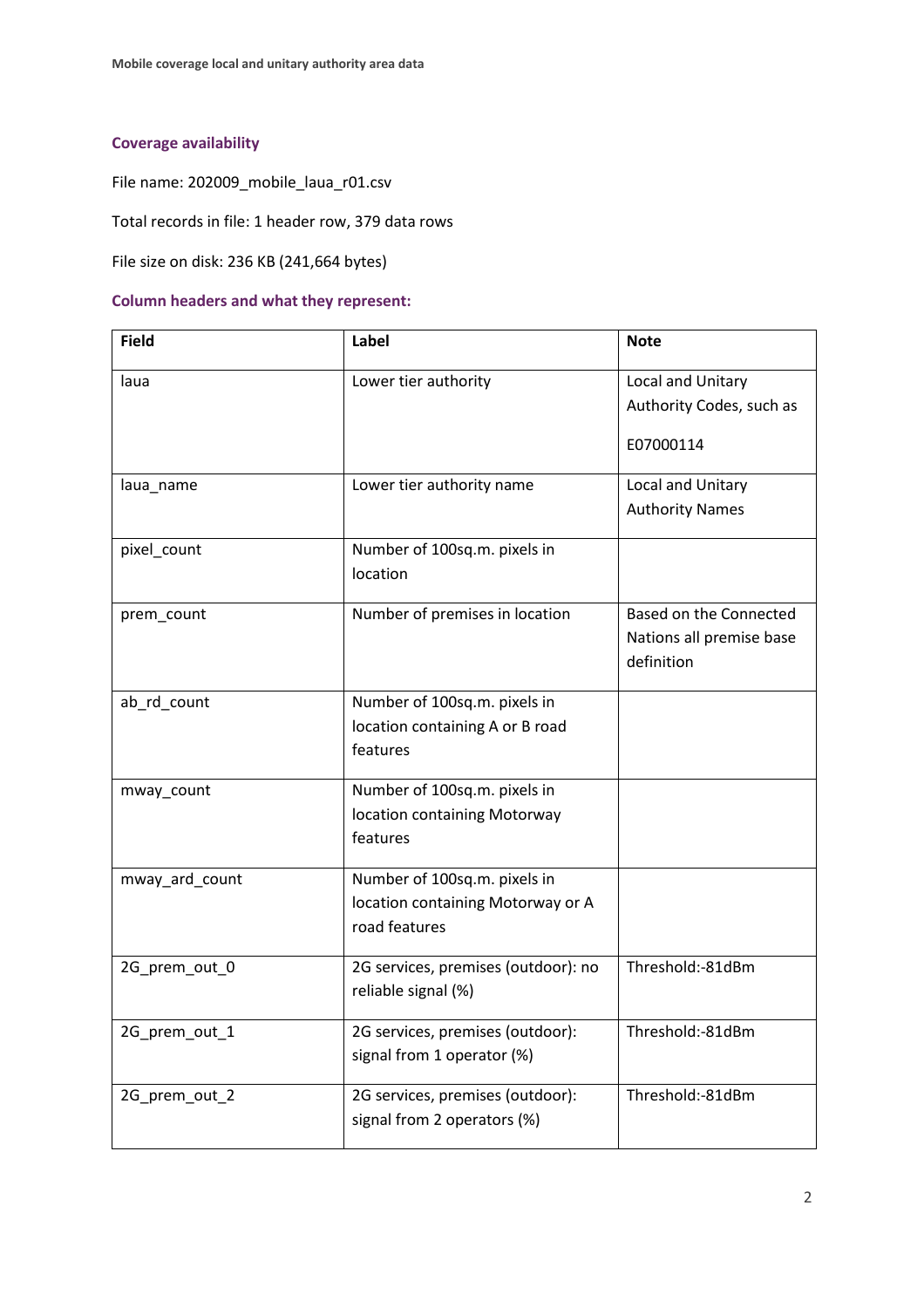# **Coverage availability**

File name: 202009\_mobile\_laua\_r01.csv

Total records in file: 1 header row, 379 data rows

File size on disk: 236 KB (241,664 bytes)

#### **Column headers and what they represent:**

| <b>Field</b>   | Label                                                                              | <b>Note</b>                                                      |
|----------------|------------------------------------------------------------------------------------|------------------------------------------------------------------|
| laua           | Lower tier authority                                                               | Local and Unitary<br>Authority Codes, such as<br>E07000114       |
|                |                                                                                    |                                                                  |
| laua_name      | Lower tier authority name                                                          | Local and Unitary<br><b>Authority Names</b>                      |
| pixel count    | Number of 100sq.m. pixels in<br>location                                           |                                                                  |
| prem_count     | Number of premises in location                                                     | Based on the Connected<br>Nations all premise base<br>definition |
| ab_rd_count    | Number of 100sq.m. pixels in<br>location containing A or B road<br>features        |                                                                  |
| mway_count     | Number of 100sq.m. pixels in<br>location containing Motorway<br>features           |                                                                  |
| mway_ard_count | Number of 100sq.m. pixels in<br>location containing Motorway or A<br>road features |                                                                  |
| 2G_prem_out_0  | 2G services, premises (outdoor): no<br>reliable signal (%)                         | Threshold:-81dBm                                                 |
| 2G_prem_out_1  | 2G services, premises (outdoor):<br>signal from 1 operator (%)                     | Threshold:-81dBm                                                 |
| 2G_prem_out_2  | 2G services, premises (outdoor):<br>signal from 2 operators (%)                    | Threshold:-81dBm                                                 |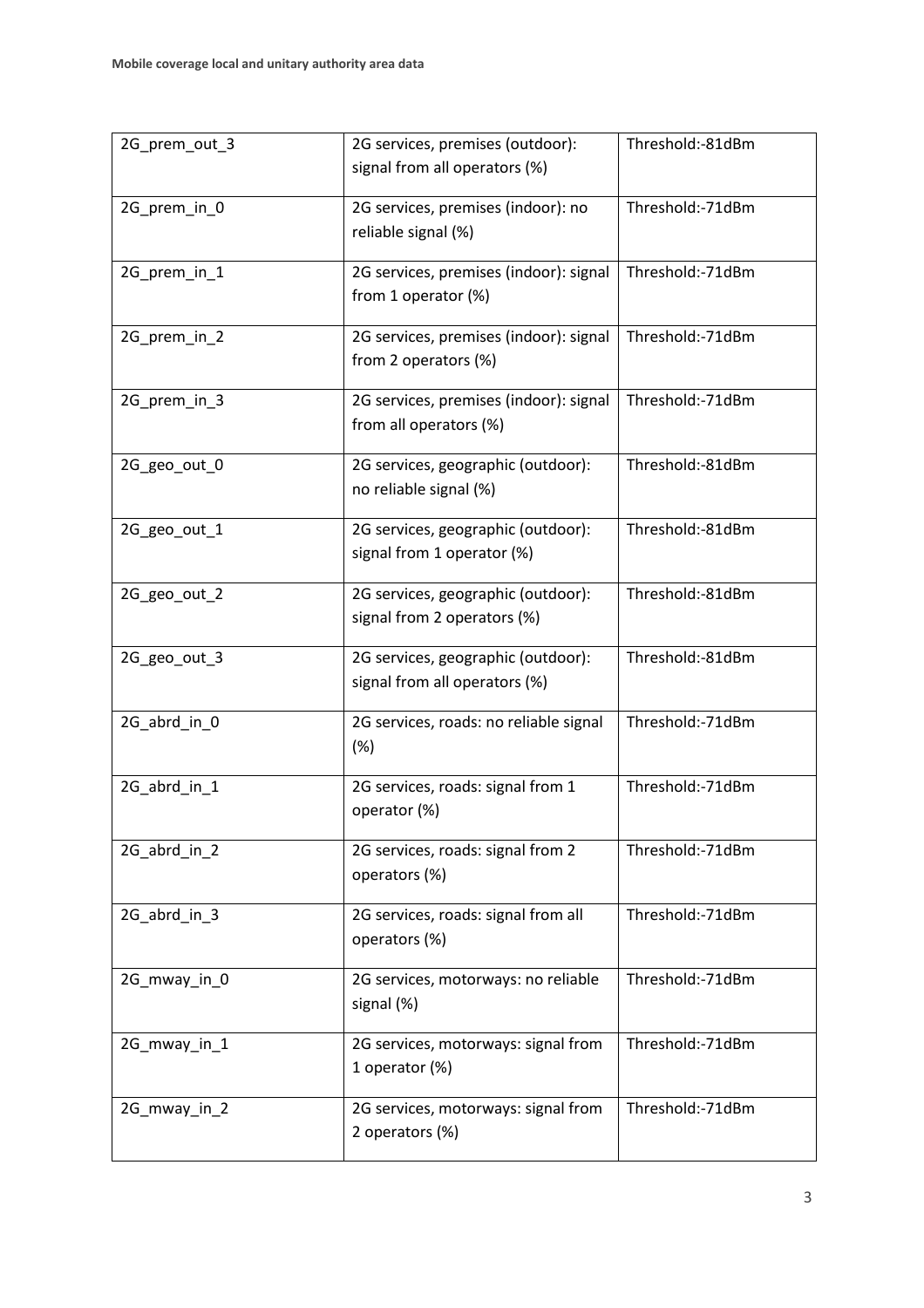| 2G_prem_out_3 | 2G services, premises (outdoor):<br>signal from all operators (%)         | Threshold:-81dBm |  |
|---------------|---------------------------------------------------------------------------|------------------|--|
| 2G_prem_in_0  | 2G services, premises (indoor): no<br>reliable signal (%)                 | Threshold:-71dBm |  |
| 2G_prem_in_1  | 2G services, premises (indoor): signal<br>from 1 operator (%)             | Threshold:-71dBm |  |
| 2G_prem_in_2  | 2G services, premises (indoor): signal<br>from 2 operators (%)            | Threshold:-71dBm |  |
| 2G_prem_in_3  | 2G services, premises (indoor): signal<br>from all operators (%)          | Threshold:-71dBm |  |
| 2G_geo_out_0  | 2G services, geographic (outdoor):<br>no reliable signal (%)              | Threshold:-81dBm |  |
| 2G_geo_out_1  | 2G services, geographic (outdoor):<br>signal from 1 operator (%)          | Threshold:-81dBm |  |
| 2G_geo_out_2  | 2G services, geographic (outdoor):<br>signal from 2 operators (%)         | Threshold:-81dBm |  |
| 2G_geo_out_3  | 2G services, geographic (outdoor):<br>signal from all operators (%)       | Threshold:-81dBm |  |
| 2G_abrd_in_0  | 2G services, roads: no reliable signal<br>(%)                             | Threshold:-71dBm |  |
| 2G_abrd_in_1  | 2G services, roads: signal from 1<br>operator (%)                         | Threshold:-71dBm |  |
| 2G_abrd_in_2  | Threshold:-71dBm<br>2G services, roads: signal from 2<br>operators (%)    |                  |  |
| 2G_abrd_in_3  | 2G services, roads: signal from all<br>operators (%)                      | Threshold:-71dBm |  |
| 2G_mway_in_0  | Threshold:-71dBm<br>2G services, motorways: no reliable<br>signal (%)     |                  |  |
| 2G_mway_in_1  | Threshold:-71dBm<br>2G services, motorways: signal from<br>1 operator (%) |                  |  |
| 2G_mway_in_2  | 2G services, motorways: signal from<br>2 operators (%)                    | Threshold:-71dBm |  |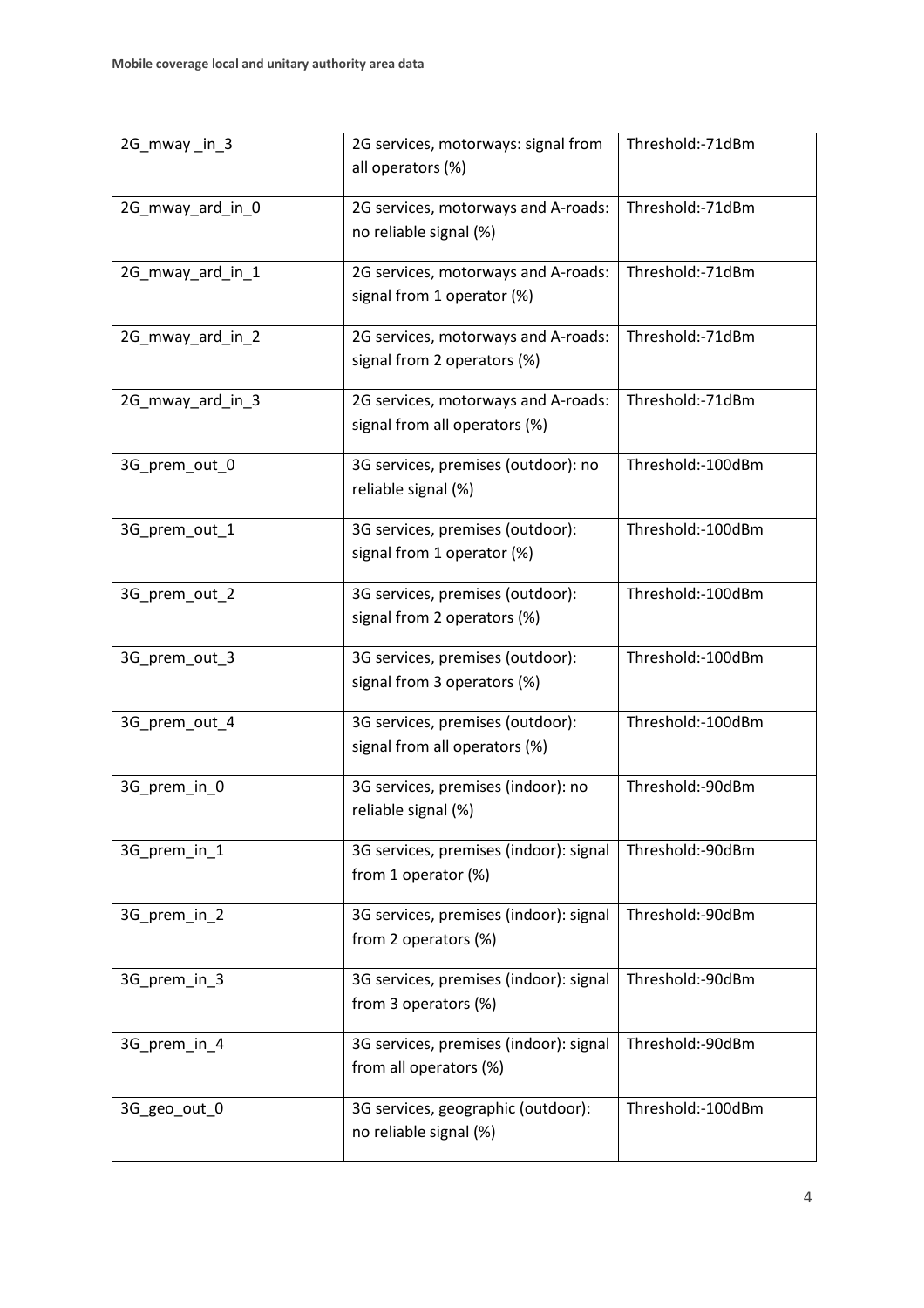| 2G_mway_in_3     | 2G services, motorways: signal from<br>all operators (%)                          | Threshold:-71dBm  |  |
|------------------|-----------------------------------------------------------------------------------|-------------------|--|
| 2G_mway_ard_in_0 | 2G services, motorways and A-roads:<br>no reliable signal (%)                     | Threshold:-71dBm  |  |
| 2G_mway_ard_in_1 | 2G services, motorways and A-roads:<br>signal from 1 operator (%)                 | Threshold:-71dBm  |  |
| 2G_mway_ard_in_2 | 2G services, motorways and A-roads:<br>signal from 2 operators (%)                | Threshold:-71dBm  |  |
| 2G_mway_ard_in_3 | 2G services, motorways and A-roads:<br>signal from all operators (%)              | Threshold:-71dBm  |  |
| 3G_prem_out_0    | 3G services, premises (outdoor): no<br>reliable signal (%)                        | Threshold:-100dBm |  |
| 3G_prem_out_1    | 3G services, premises (outdoor):<br>signal from 1 operator (%)                    | Threshold:-100dBm |  |
| 3G_prem_out_2    | 3G services, premises (outdoor):<br>signal from 2 operators (%)                   | Threshold:-100dBm |  |
| 3G_prem_out_3    | 3G services, premises (outdoor):<br>signal from 3 operators (%)                   | Threshold:-100dBm |  |
| 3G_prem_out_4    | 3G services, premises (outdoor):<br>signal from all operators (%)                 | Threshold:-100dBm |  |
| 3G_prem_in_0     | 3G services, premises (indoor): no<br>reliable signal (%)                         | Threshold:-90dBm  |  |
| 3G_prem_in_1     | 3G services, premises (indoor): signal<br>from 1 operator (%)                     | Threshold:-90dBm  |  |
| 3G_prem_in_2     | 3G services, premises (indoor): signal<br>from 2 operators (%)                    | Threshold:-90dBm  |  |
| 3G_prem_in_3     | 3G services, premises (indoor): signal<br>from 3 operators (%)                    | Threshold:-90dBm  |  |
| 3G_prem_in_4     | 3G services, premises (indoor): signal<br>from all operators (%)                  | Threshold:-90dBm  |  |
| 3G_geo_out_0     | 3G services, geographic (outdoor):<br>Threshold:-100dBm<br>no reliable signal (%) |                   |  |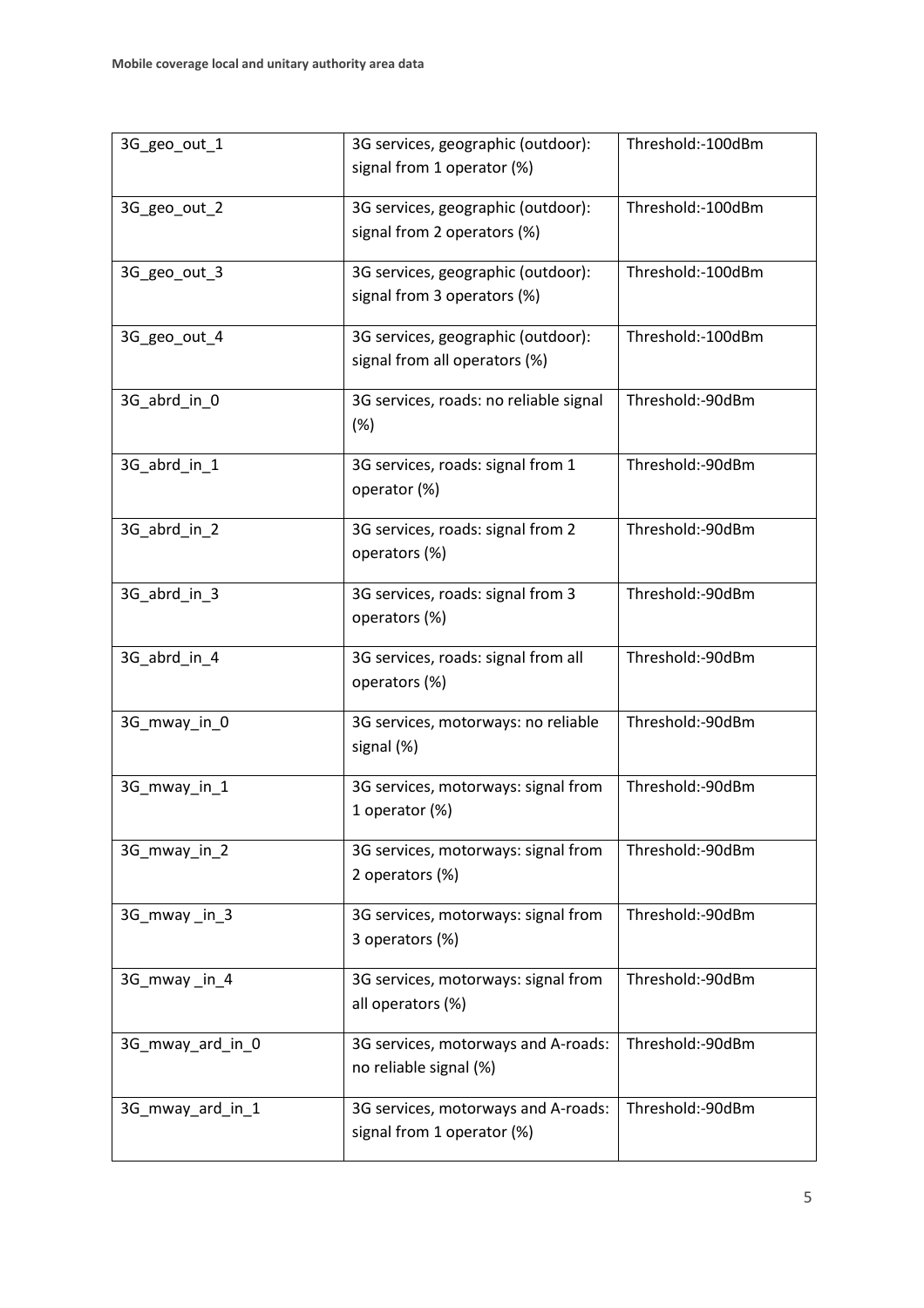| 3G_geo_out_1     | 3G services, geographic (outdoor):<br>signal from 1 operator (%)                  | Threshold:-100dBm |  |
|------------------|-----------------------------------------------------------------------------------|-------------------|--|
| 3G_geo_out_2     | 3G services, geographic (outdoor):<br>signal from 2 operators (%)                 | Threshold:-100dBm |  |
| 3G_geo_out_3     | 3G services, geographic (outdoor):<br>signal from 3 operators (%)                 | Threshold:-100dBm |  |
| 3G geo out 4     | 3G services, geographic (outdoor):<br>signal from all operators (%)               | Threshold:-100dBm |  |
| 3G_abrd_in_0     | 3G services, roads: no reliable signal<br>(%)                                     | Threshold:-90dBm  |  |
| 3G_abrd_in_1     | 3G services, roads: signal from 1<br>operator (%)                                 | Threshold:-90dBm  |  |
| 3G_abrd_in_2     | 3G services, roads: signal from 2<br>operators (%)                                | Threshold:-90dBm  |  |
| 3G_abrd_in_3     | 3G services, roads: signal from 3<br>operators (%)                                | Threshold:-90dBm  |  |
| 3G_abrd_in_4     | 3G services, roads: signal from all<br>operators (%)                              | Threshold:-90dBm  |  |
| 3G_mway_in_0     | 3G services, motorways: no reliable<br>signal (%)                                 | Threshold:-90dBm  |  |
| 3G_mway_in_1     | 3G services, motorways: signal from<br>1 operator (%)                             | Threshold:-90dBm  |  |
| 3G_mway_in_2     | Threshold:-90dBm<br>3G services, motorways: signal from<br>2 operators (%)        |                   |  |
| 3G_mway_in_3     | 3G services, motorways: signal from<br>3 operators (%)                            | Threshold:-90dBm  |  |
| 3G_mway_in_4     | Threshold:-90dBm<br>3G services, motorways: signal from<br>all operators (%)      |                   |  |
| 3G_mway_ard_in_0 | Threshold:-90dBm<br>3G services, motorways and A-roads:<br>no reliable signal (%) |                   |  |
| 3G_mway_ard_in_1 | 3G services, motorways and A-roads:<br>signal from 1 operator (%)                 | Threshold:-90dBm  |  |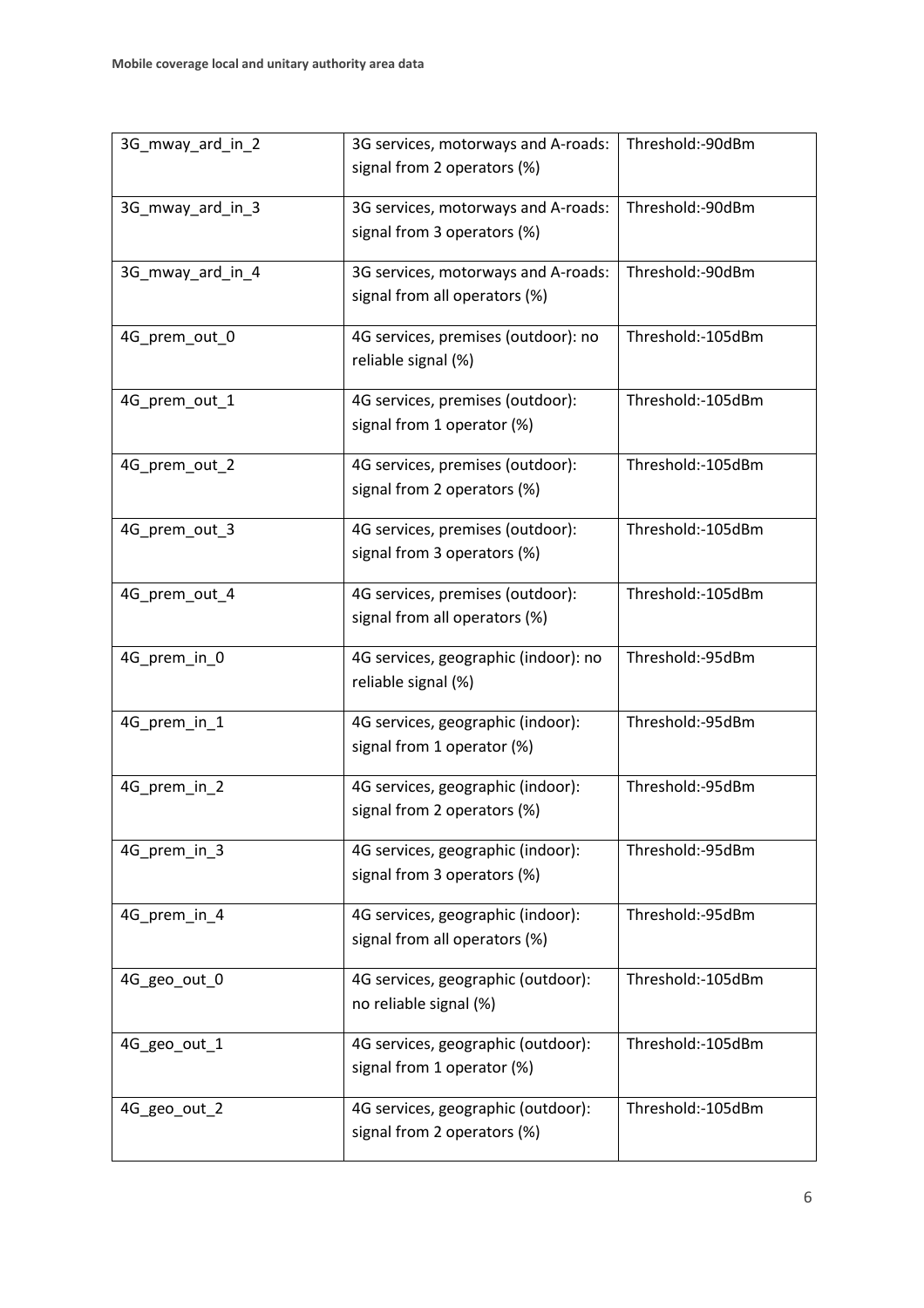| 3G_mway_ard_in_2 | 3G services, motorways and A-roads:<br>signal from 2 operators (%)                     | Threshold:-90dBm  |  |
|------------------|----------------------------------------------------------------------------------------|-------------------|--|
| 3G_mway_ard_in_3 | 3G services, motorways and A-roads:<br>signal from 3 operators (%)                     | Threshold:-90dBm  |  |
| 3G_mway_ard_in_4 | 3G services, motorways and A-roads:<br>signal from all operators (%)                   | Threshold:-90dBm  |  |
| 4G_prem_out_0    | 4G services, premises (outdoor): no<br>reliable signal (%)                             | Threshold:-105dBm |  |
| 4G_prem_out_1    | 4G services, premises (outdoor):<br>signal from 1 operator (%)                         | Threshold:-105dBm |  |
| 4G_prem_out_2    | 4G services, premises (outdoor):<br>signal from 2 operators (%)                        | Threshold:-105dBm |  |
| 4G_prem_out_3    | 4G services, premises (outdoor):<br>signal from 3 operators (%)                        | Threshold:-105dBm |  |
| 4G_prem_out_4    | 4G services, premises (outdoor):<br>signal from all operators (%)                      | Threshold:-105dBm |  |
| 4G_prem_in_0     | 4G services, geographic (indoor): no<br>reliable signal (%)                            | Threshold:-95dBm  |  |
| 4G_prem_in_1     | 4G services, geographic (indoor):<br>signal from 1 operator (%)                        | Threshold:-95dBm  |  |
| 4G_prem_in_2     | 4G services, geographic (indoor):<br>signal from 2 operators (%)                       | Threshold:-95dBm  |  |
| 4G_prem_in_3     | 4G services, geographic (indoor):<br>signal from 3 operators (%)                       | Threshold:-95dBm  |  |
| 4G_prem_in_4     | 4G services, geographic (indoor):<br>signal from all operators (%)                     | Threshold:-95dBm  |  |
| 4G_geo_out_0     | 4G services, geographic (outdoor):<br>no reliable signal (%)                           | Threshold:-105dBm |  |
| 4G_geo_out_1     | 4G services, geographic (outdoor):<br>signal from 1 operator (%)                       | Threshold:-105dBm |  |
| 4G_geo_out_2     | 4G services, geographic (outdoor):<br>Threshold:-105dBm<br>signal from 2 operators (%) |                   |  |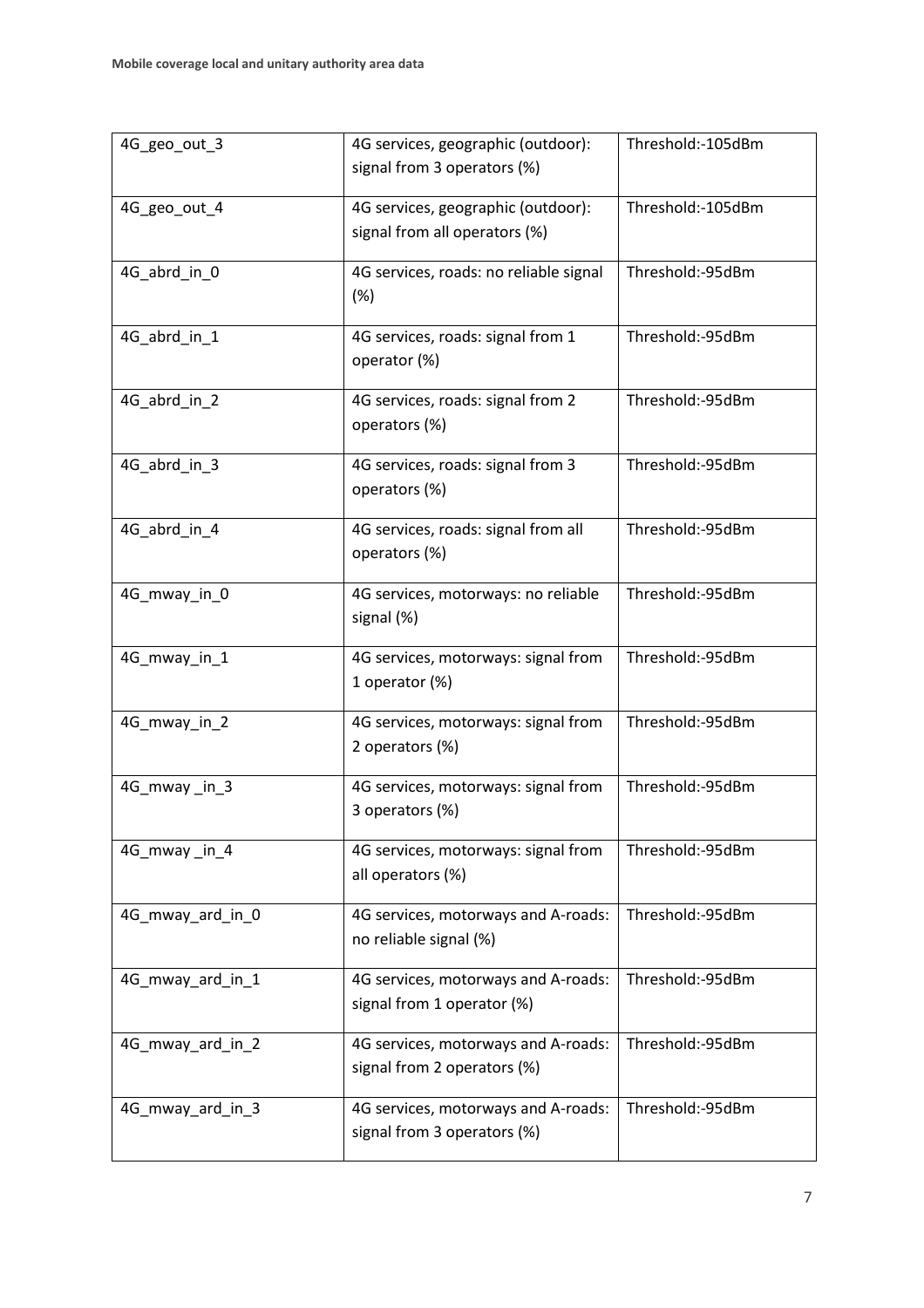| 4G_geo_out_3     | 4G services, geographic (outdoor):<br>signal from 3 operators (%)                      | Threshold:-105dBm |  |
|------------------|----------------------------------------------------------------------------------------|-------------------|--|
| 4G_geo_out_4     | 4G services, geographic (outdoor):<br>signal from all operators (%)                    | Threshold:-105dBm |  |
| 4G_abrd_in_0     | 4G services, roads: no reliable signal<br>(%)                                          | Threshold:-95dBm  |  |
| 4G_abrd_in_1     | 4G services, roads: signal from 1<br>operator (%)                                      | Threshold:-95dBm  |  |
| 4G_abrd_in_2     | 4G services, roads: signal from 2<br>operators (%)                                     | Threshold:-95dBm  |  |
| 4G_abrd_in_3     | 4G services, roads: signal from 3<br>operators (%)                                     | Threshold:-95dBm  |  |
| 4G abrd in 4     | 4G services, roads: signal from all<br>operators (%)                                   | Threshold:-95dBm  |  |
| 4G_mway_in_0     | 4G services, motorways: no reliable<br>signal (%)                                      | Threshold:-95dBm  |  |
| 4G_mway_in_1     | 4G services, motorways: signal from<br>1 operator (%)                                  | Threshold:-95dBm  |  |
| 4G_mway_in_2     | 4G services, motorways: signal from<br>2 operators (%)                                 | Threshold:-95dBm  |  |
| 4G_mway_in_3     | 4G services, motorways: signal from<br>3 operators (%)                                 | Threshold:-95dBm  |  |
| 4G_mway_in_4     | Threshold:-95dBm<br>4G services, motorways: signal from<br>all operators (%)           |                   |  |
| 4G mway ard in 0 | 4G services, motorways and A-roads:<br>no reliable signal (%)                          | Threshold:-95dBm  |  |
| 4G mway ard in 1 | Threshold:-95dBm<br>4G services, motorways and A-roads:<br>signal from 1 operator (%)  |                   |  |
| 4G_mway_ard_in_2 | Threshold:-95dBm<br>4G services, motorways and A-roads:<br>signal from 2 operators (%) |                   |  |
| 4G_mway_ard_in_3 | 4G services, motorways and A-roads:<br>signal from 3 operators (%)                     | Threshold:-95dBm  |  |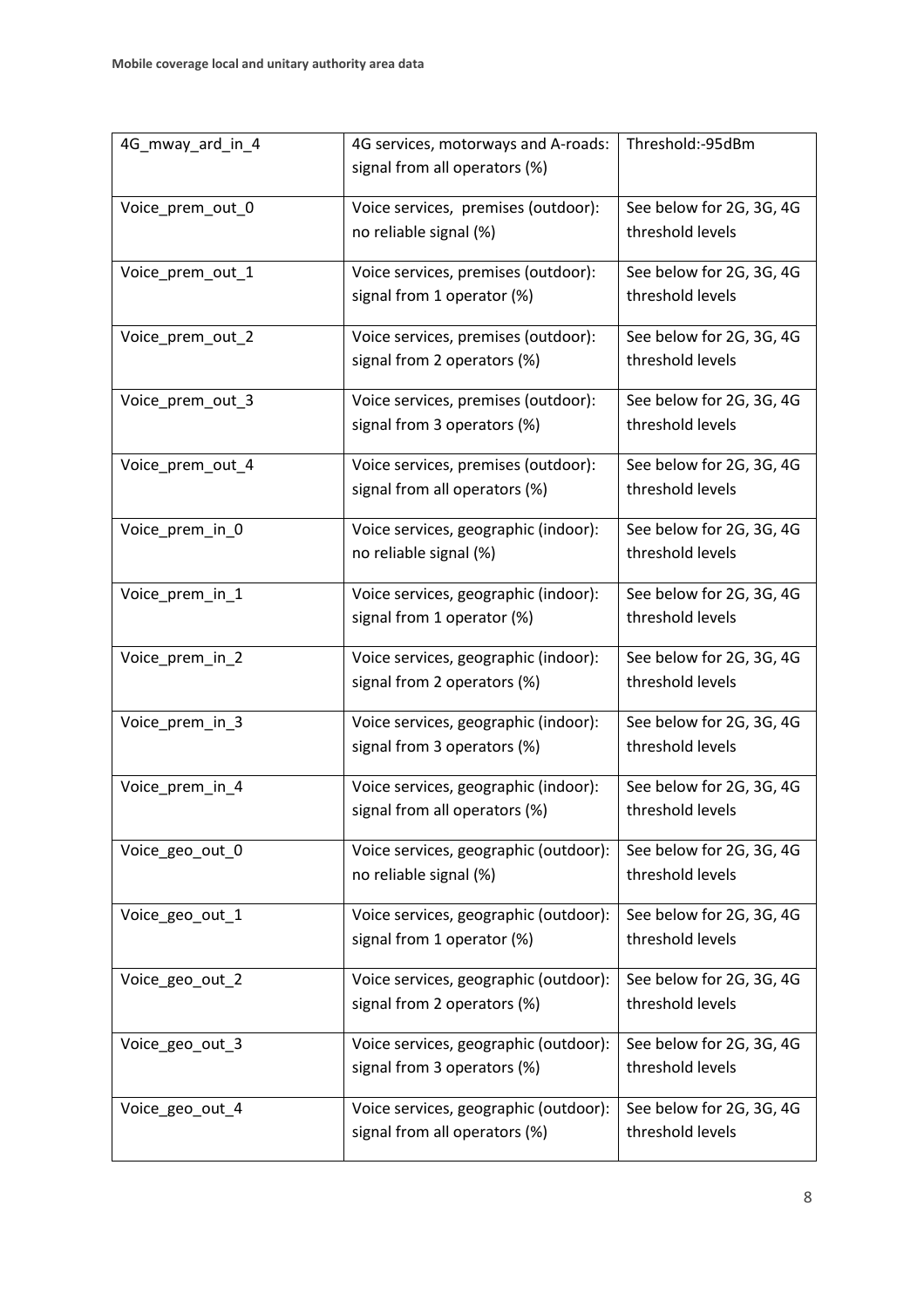| 4G_mway_ard_in_4 | Threshold:-95dBm<br>4G services, motorways and A-roads: |                          |
|------------------|---------------------------------------------------------|--------------------------|
|                  | signal from all operators (%)                           |                          |
|                  |                                                         |                          |
| Voice_prem_out_0 | Voice services, premises (outdoor):                     | See below for 2G, 3G, 4G |
|                  | no reliable signal (%)                                  | threshold levels         |
| Voice_prem_out_1 | Voice services, premises (outdoor):                     | See below for 2G, 3G, 4G |
|                  | signal from 1 operator (%)                              | threshold levels         |
| Voice_prem_out_2 | Voice services, premises (outdoor):                     | See below for 2G, 3G, 4G |
|                  | signal from 2 operators (%)                             | threshold levels         |
| Voice_prem_out_3 | Voice services, premises (outdoor):                     | See below for 2G, 3G, 4G |
|                  | signal from 3 operators (%)                             | threshold levels         |
| Voice_prem_out_4 | Voice services, premises (outdoor):                     | See below for 2G, 3G, 4G |
|                  | signal from all operators (%)                           | threshold levels         |
| Voice_prem_in_0  | Voice services, geographic (indoor):                    | See below for 2G, 3G, 4G |
|                  | no reliable signal (%)                                  | threshold levels         |
| Voice_prem_in_1  | Voice services, geographic (indoor):                    | See below for 2G, 3G, 4G |
|                  | signal from 1 operator (%)                              | threshold levels         |
| Voice_prem_in_2  | Voice services, geographic (indoor):                    | See below for 2G, 3G, 4G |
|                  | signal from 2 operators (%)                             | threshold levels         |
| Voice_prem_in_3  | Voice services, geographic (indoor):                    | See below for 2G, 3G, 4G |
|                  | signal from 3 operators (%)                             | threshold levels         |
| Voice_prem_in_4  | Voice services, geographic (indoor):                    | See below for 2G, 3G, 4G |
|                  | signal from all operators (%)                           | threshold levels         |
| Voice_geo_out_0  | Voice services, geographic (outdoor):                   | See below for 2G, 3G, 4G |
|                  | no reliable signal (%)                                  | threshold levels         |
| Voice_geo_out_1  | Voice services, geographic (outdoor):                   | See below for 2G, 3G, 4G |
|                  | signal from 1 operator (%)                              | threshold levels         |
| Voice_geo_out_2  | Voice services, geographic (outdoor):                   | See below for 2G, 3G, 4G |
|                  | signal from 2 operators (%)                             | threshold levels         |
| Voice_geo_out_3  | Voice services, geographic (outdoor):                   | See below for 2G, 3G, 4G |
|                  | signal from 3 operators (%)                             | threshold levels         |
| Voice_geo_out_4  | Voice services, geographic (outdoor):                   | See below for 2G, 3G, 4G |
|                  | signal from all operators (%)                           | threshold levels         |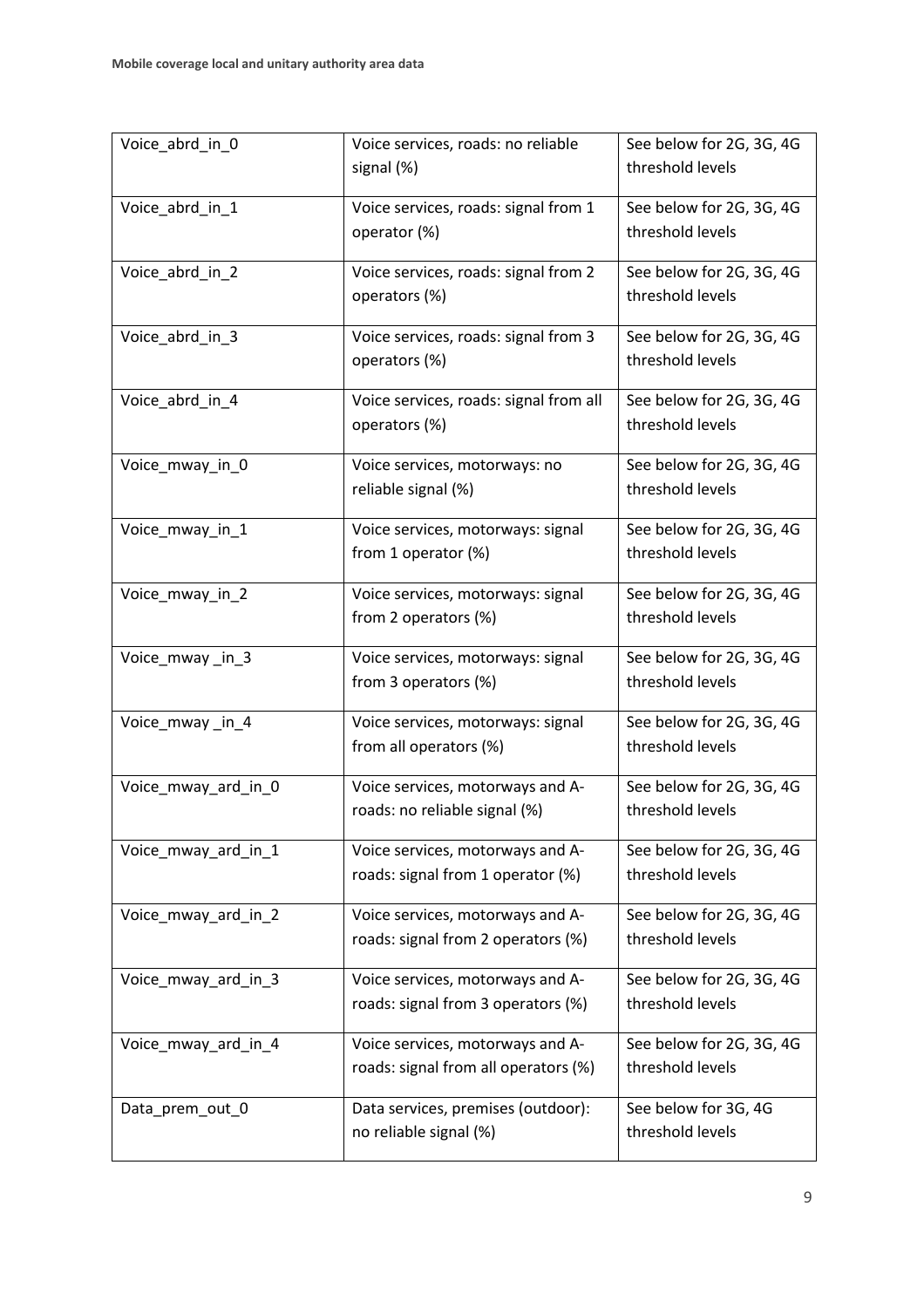| Voice_abrd_in_0     | Voice services, roads: no reliable<br>signal (%)                         | See below for 2G, 3G, 4G<br>threshold levels |  |
|---------------------|--------------------------------------------------------------------------|----------------------------------------------|--|
| Voice_abrd_in_1     | Voice services, roads: signal from 1<br>operator (%)                     | See below for 2G, 3G, 4G<br>threshold levels |  |
| Voice_abrd_in_2     | Voice services, roads: signal from 2<br>operators (%)                    | See below for 2G, 3G, 4G<br>threshold levels |  |
| Voice_abrd_in_3     | Voice services, roads: signal from 3<br>operators (%)                    | See below for 2G, 3G, 4G<br>threshold levels |  |
| Voice_abrd_in_4     | Voice services, roads: signal from all<br>operators (%)                  | See below for 2G, 3G, 4G<br>threshold levels |  |
| Voice_mway_in_0     | Voice services, motorways: no<br>reliable signal (%)                     | See below for 2G, 3G, 4G<br>threshold levels |  |
| Voice_mway_in_1     | Voice services, motorways: signal<br>from 1 operator (%)                 | See below for 2G, 3G, 4G<br>threshold levels |  |
| Voice_mway_in_2     | Voice services, motorways: signal<br>from 2 operators (%)                | See below for 2G, 3G, 4G<br>threshold levels |  |
| Voice_mway_in_3     | Voice services, motorways: signal<br>from 3 operators (%)                | See below for 2G, 3G, 4G<br>threshold levels |  |
| Voice_mway_in_4     | Voice services, motorways: signal<br>from all operators (%)              | See below for 2G, 3G, 4G<br>threshold levels |  |
| Voice_mway_ard_in_0 | Voice services, motorways and A-<br>roads: no reliable signal (%)        | See below for 2G, 3G, 4G<br>threshold levels |  |
| Voice_mway_ard_in_1 | Voice services, motorways and A-<br>roads: signal from 1 operator (%)    | See below for 2G, 3G, 4G<br>threshold levels |  |
| Voice mway ard in 2 | Voice services, motorways and A-<br>roads: signal from 2 operators (%)   | See below for 2G, 3G, 4G<br>threshold levels |  |
| Voice_mway_ard_in_3 | Voice services, motorways and A-<br>roads: signal from 3 operators (%)   | See below for 2G, 3G, 4G<br>threshold levels |  |
| Voice_mway_ard_in_4 | Voice services, motorways and A-<br>roads: signal from all operators (%) | See below for 2G, 3G, 4G<br>threshold levels |  |
| Data_prem_out_0     | Data services, premises (outdoor):<br>no reliable signal (%)             | See below for 3G, 4G<br>threshold levels     |  |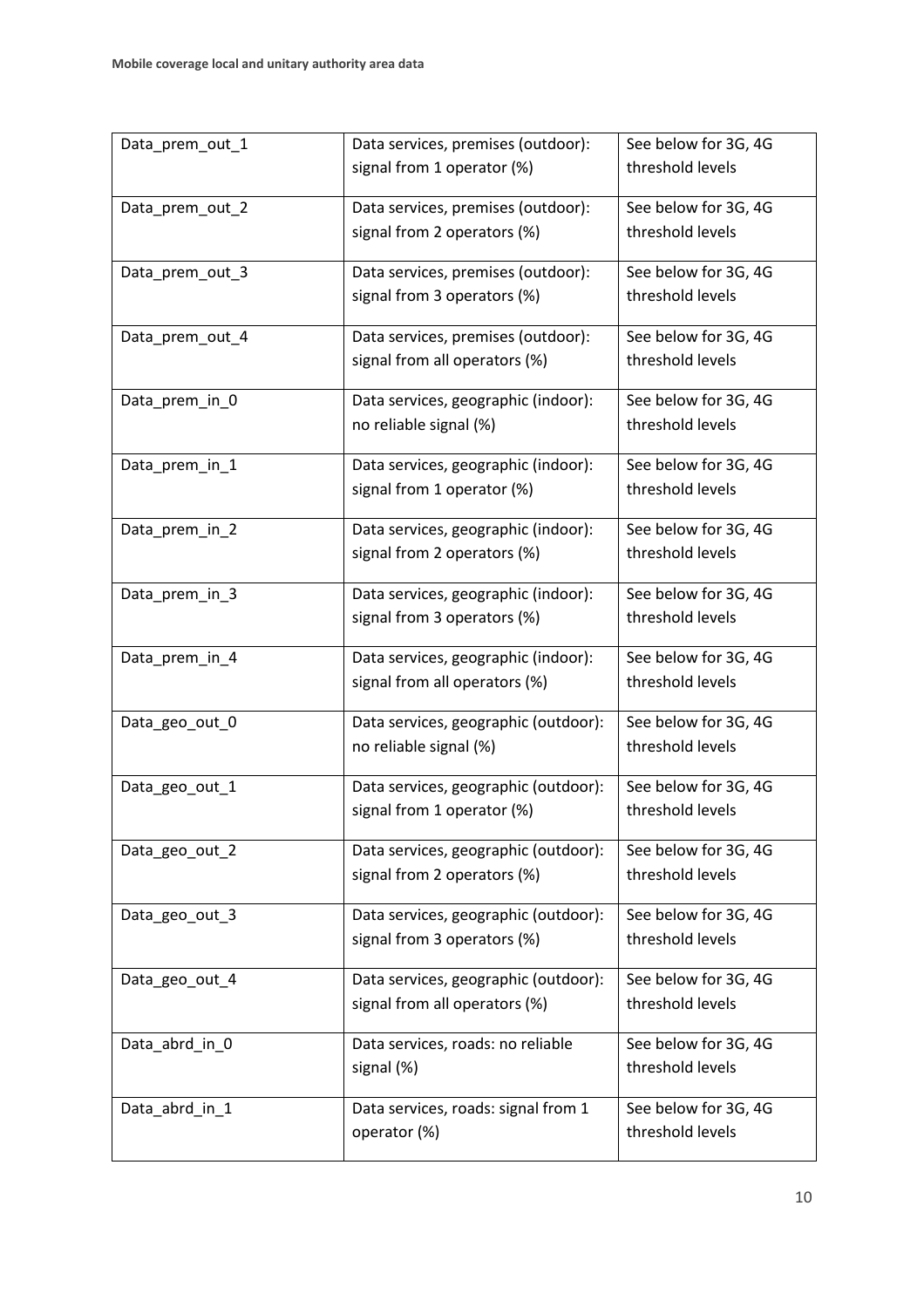| Data_prem_out_1 | Data services, premises (outdoor):   | See below for 3G, 4G |  |
|-----------------|--------------------------------------|----------------------|--|
|                 | signal from 1 operator (%)           | threshold levels     |  |
| Data_prem_out_2 | Data services, premises (outdoor):   | See below for 3G, 4G |  |
|                 | signal from 2 operators (%)          | threshold levels     |  |
| Data_prem_out_3 | Data services, premises (outdoor):   | See below for 3G, 4G |  |
|                 | signal from 3 operators (%)          | threshold levels     |  |
| Data_prem_out_4 | Data services, premises (outdoor):   | See below for 3G, 4G |  |
|                 | signal from all operators (%)        | threshold levels     |  |
| Data_prem_in_0  | Data services, geographic (indoor):  | See below for 3G, 4G |  |
|                 | no reliable signal (%)               | threshold levels     |  |
| Data_prem_in_1  | Data services, geographic (indoor):  | See below for 3G, 4G |  |
|                 | signal from 1 operator (%)           | threshold levels     |  |
| Data_prem_in_2  | Data services, geographic (indoor):  | See below for 3G, 4G |  |
|                 | signal from 2 operators (%)          | threshold levels     |  |
| Data_prem_in_3  | Data services, geographic (indoor):  | See below for 3G, 4G |  |
|                 | signal from 3 operators (%)          | threshold levels     |  |
| Data_prem_in_4  | Data services, geographic (indoor):  | See below for 3G, 4G |  |
|                 | signal from all operators (%)        | threshold levels     |  |
| Data_geo_out_0  | Data services, geographic (outdoor): | See below for 3G, 4G |  |
|                 | no reliable signal (%)               | threshold levels     |  |
| Data_geo_out_1  | Data services, geographic (outdoor): | See below for 3G, 4G |  |
|                 | signal from 1 operator (%)           | threshold levels     |  |
| Data_geo_out_2  | Data services, geographic (outdoor): | See below for 3G, 4G |  |
|                 | signal from 2 operators (%)          | threshold levels     |  |
| Data_geo_out_3  | Data services, geographic (outdoor): | See below for 3G, 4G |  |
|                 | signal from 3 operators (%)          | threshold levels     |  |
| Data_geo_out_4  | Data services, geographic (outdoor): | See below for 3G, 4G |  |
|                 | signal from all operators (%)        | threshold levels     |  |
| Data_abrd_in_0  | Data services, roads: no reliable    | See below for 3G, 4G |  |
|                 | signal (%)                           | threshold levels     |  |
| Data_abrd_in_1  | Data services, roads: signal from 1  | See below for 3G, 4G |  |
|                 | operator (%)                         | threshold levels     |  |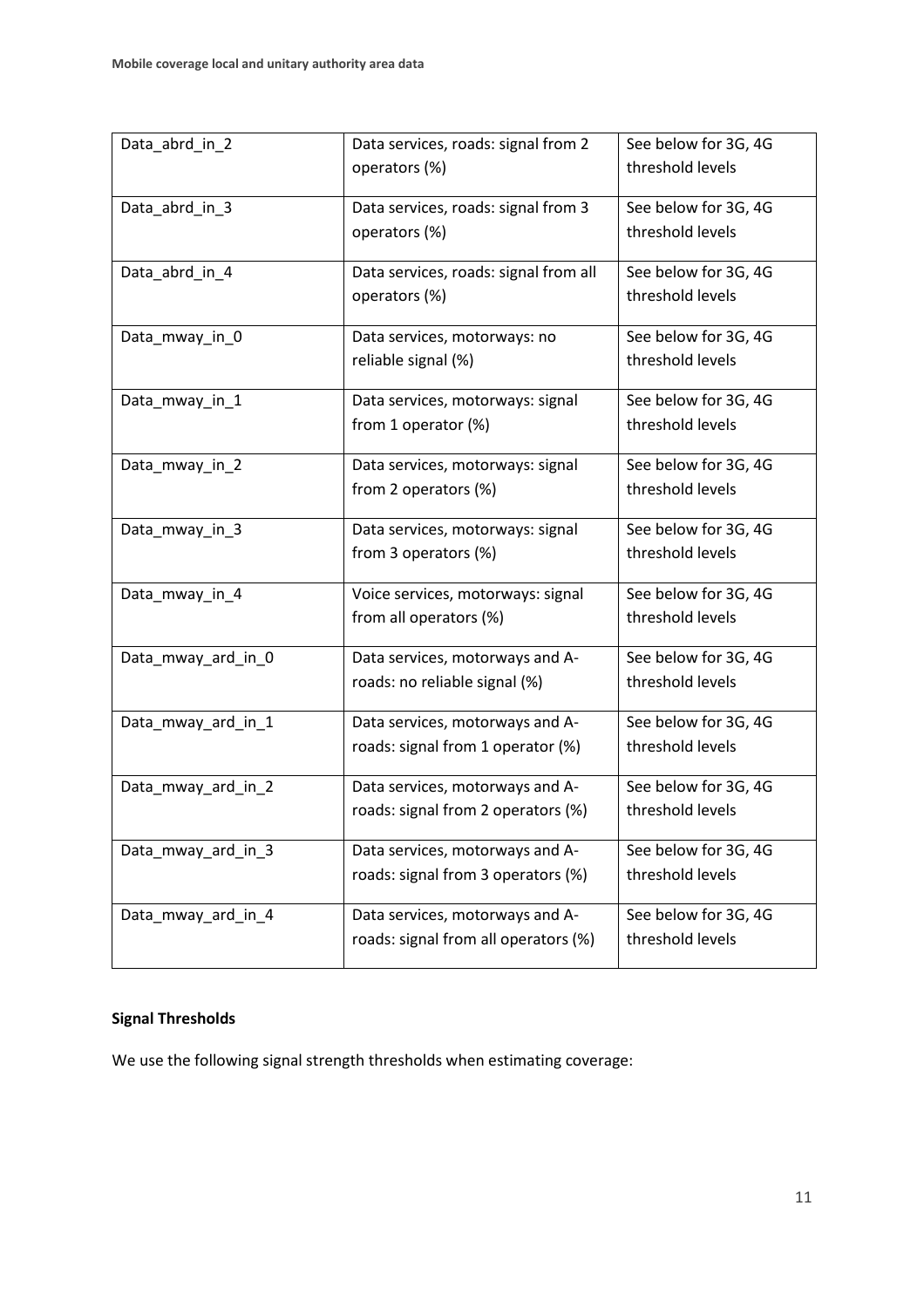| Data_abrd_in_2     | Data services, roads: signal from 2   | See below for 3G, 4G |  |
|--------------------|---------------------------------------|----------------------|--|
|                    | operators (%)                         | threshold levels     |  |
|                    |                                       |                      |  |
| Data_abrd_in_3     | Data services, roads: signal from 3   | See below for 3G, 4G |  |
|                    | operators (%)                         | threshold levels     |  |
| Data_abrd_in_4     | Data services, roads: signal from all | See below for 3G, 4G |  |
|                    | operators (%)                         | threshold levels     |  |
|                    |                                       |                      |  |
| Data_mway_in_0     | Data services, motorways: no          | See below for 3G, 4G |  |
|                    | reliable signal (%)                   | threshold levels     |  |
|                    |                                       | See below for 3G, 4G |  |
| Data_mway_in_1     | Data services, motorways: signal      | threshold levels     |  |
|                    | from 1 operator (%)                   |                      |  |
| Data_mway_in_2     | Data services, motorways: signal      | See below for 3G, 4G |  |
|                    | from 2 operators (%)                  | threshold levels     |  |
|                    |                                       |                      |  |
| Data_mway_in_3     | Data services, motorways: signal      | See below for 3G, 4G |  |
|                    | from 3 operators (%)                  | threshold levels     |  |
| Data_mway_in_4     | Voice services, motorways: signal     | See below for 3G, 4G |  |
|                    | from all operators (%)                | threshold levels     |  |
|                    |                                       |                      |  |
| Data_mway_ard_in_0 | Data services, motorways and A-       | See below for 3G, 4G |  |
|                    | roads: no reliable signal (%)         | threshold levels     |  |
| Data_mway_ard_in_1 | Data services, motorways and A-       | See below for 3G, 4G |  |
|                    | roads: signal from 1 operator (%)     | threshold levels     |  |
|                    |                                       |                      |  |
| Data_mway_ard_in_2 | Data services, motorways and A-       | See below for 3G, 4G |  |
|                    | roads: signal from 2 operators (%)    | threshold levels     |  |
| Data_mway_ard_in_3 | Data services, motorways and A-       | See below for 3G, 4G |  |
|                    | roads: signal from 3 operators (%)    | threshold levels     |  |
|                    |                                       |                      |  |
| Data_mway_ard_in_4 | Data services, motorways and A-       | See below for 3G, 4G |  |
|                    | roads: signal from all operators (%)  | threshold levels     |  |
|                    |                                       |                      |  |

# **Signal Thresholds**

We use the following signal strength thresholds when estimating coverage: